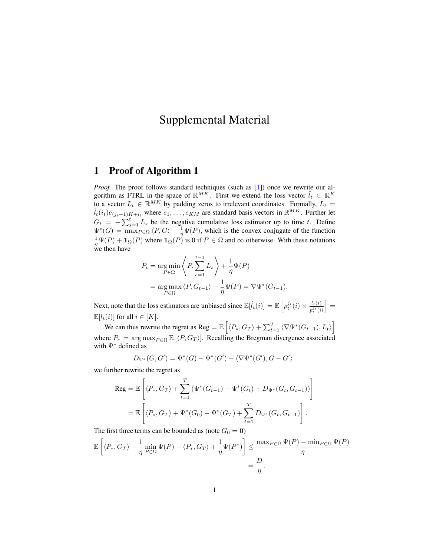## Supplemental Material

## 1 Proof of Algorithm 1

*Proof.* The proof follows standard techniques (such as [\[1\]](#page-3-0)) once we rewrite our algorithm as FTRL in the space of  $\mathbb{R}^{MK}$ . First we extend the loss vector  $\hat{l}_t \in \mathbb{R}^{K}$ to a vector  $L_t \in \mathbb{R}^{MK}$  by padding zeros to irrelevant coordinates. Formally,  $L_t =$  $\hat{l}_t(i_t)e_{(j_t-1)K+i_t}$  where  $e_1,\ldots,e_{KM}$  are standard basis vectors in  $\mathbb{R}^{MK}$ . Further let  $G_t = -\sum_{s=1}^t L_s$  be the negative cumulative loss estimator up to time t. Define  $\Psi^*(G) = \max_{P \in \Omega} \langle P, G \rangle - \frac{1}{\eta} \Psi(P)$ , which is the convex conjugate of the function  $\frac{1}{\eta}\Psi(P) + \mathbf{1}_{\Omega}(P)$  where  $\mathbf{1}_{\Omega}(P)$  is 0 if  $P \in \Omega$  and  $\infty$  otherwise. With these notations we then have

$$
P_t = \underset{P \in \Omega}{\arg \min} \left\langle P, \sum_{s=1}^{t-1} L_s \right\rangle + \frac{1}{\eta} \Psi(P)
$$
  
= 
$$
\underset{P \in \Omega}{\arg \max} \left\langle P, G_{t-1} \right\rangle - \frac{1}{\eta} \Psi(P) = \nabla \Psi^*(G_{t-1}).
$$

Next, note that the loss estimators are unbiased since  $\mathbb{E}[\hat{l}_t(i)] = \mathbb{E}\left[p_t^{j_t}(i) \times \frac{l_t(i)}{n^{j_t}(i)}\right]$  $\overline{p_t^{j_t}(i)}$  $\vert =$  $\mathbb{E}[l_t(i)]$  for all  $i \in [K].$ 

We can thus rewrite the regret as Reg =  $\mathbb{E}\left[\langle P_*, G_T \rangle + \sum_{t=1}^T \langle \nabla \Psi^*(G_{t-1}), L_t \rangle \right]$ where  $P_* = \arg \max_{P \in \Omega} \mathbb{E} [\langle P, G_T \rangle]$ . Recalling the Bregman divergence associated with Ψ<sup>∗</sup> defined as

$$
D_{\Psi^*}(G, G') = \Psi^*(G) - \Psi^*(G') - \langle \nabla \Psi^*(G'), G - G' \rangle.
$$

we further rewrite the regret as

$$
\begin{aligned} \text{Reg} &= \mathbb{E}\left[ \langle P_*, G_T \rangle + \sum_{t=1}^T \left( \Psi^*(G_{t-1}) - \Psi^*(G_t) + D_{\Psi^*}(G_t, G_{t-1}) \right) \right] \\ &= \mathbb{E}\left[ \langle P_*, G_T \rangle + \Psi^*(G_0) - \Psi^*(G_T) + \sum_{t=1}^T D_{\Psi^*}(G_t, G_{t-1}) \right]. \end{aligned}
$$

The first three terms can be bounded as (note  $G_0 = 0$ )

$$
\mathbb{E}\left[\langle P_*, G_T \rangle - \frac{1}{\eta} \min_{P \in \Omega} \Psi(P) - \langle P_*, G_T \rangle + \frac{1}{\eta} \Psi(P^*)\right] \le \frac{\max_{P \in \Omega} \Psi(P) - \min_{P \in \Omega} \Psi(P)}{\eta} = \frac{D}{\eta}.
$$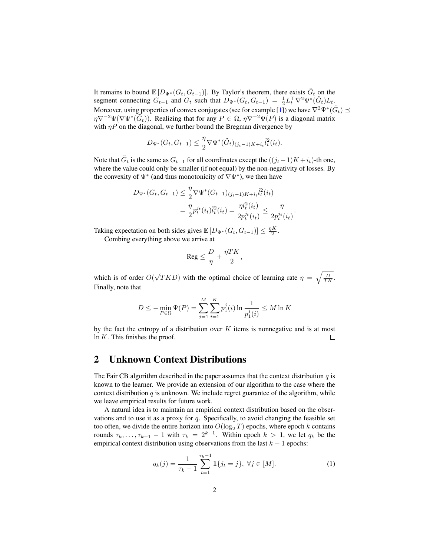It remains to bound  $\mathbb{E}[D_{\Psi^*}(G_t, G_{t-1})]$ . By Taylor's theorem, there exists  $\tilde{G}_t$  on the segment connecting  $G_{t-1}$  and  $G_t$  such that  $D_{\Psi^*}(G_t, G_{t-1}) = \frac{1}{2} L_t^{\top} \nabla^2 \Psi^*(\tilde{G}_t) L_t$ . Moreover, using properties of convex conjugates (see for example [\[1\]](#page-3-0)) we have  $\nabla^2 \Psi^*(\tilde{G}_t) \preceq$  $\eta \nabla^{-2} \Psi (\nabla \Psi^*(\tilde{G}_t))$ . Realizing that for any  $P \in \Omega$ ,  $\eta \nabla^{-2} \Psi(P)$  is a diagonal matrix with  $\eta P$  on the diagonal, we further bound the Bregman divergence by

$$
D_{\Psi^*}(G_t, G_{t-1}) \leq \frac{\eta}{2} \nabla \Psi^*(\tilde{G}_t)_{(j_t-1)K + i_t} \hat{l}_t^2(i_t).
$$

Note that  $\tilde{G}_t$  is the same as  $G_{t-1}$  for all coordinates except the  $((j_t-1)K+i_t)$ -th one, where the value could only be smaller (if not equal) by the non-negativity of losses. By the convexity of  $\Psi^*$  (and thus monotonicity of  $\nabla \Psi^*$ ), we then have

$$
D_{\Psi^*}(G_t, G_{t-1}) \leq \frac{\eta}{2} \nabla \Psi^*(G_{t-1})_{(j_t-1)K + i_t} \hat{l}_t^2(i_t)
$$
  
= 
$$
\frac{\eta}{2} p_t^{j_t}(i_t) \hat{l}_t^2(i_t) = \frac{\eta l_t^2(i_t)}{2p_t^{j_t}(i_t)} \leq \frac{\eta}{2p_t^{j_t}(i_t)}.
$$

Taking expectation on both sides gives  $\mathbb{E}[D_{\Psi^*}(G_t, G_{t-1})] \leq \frac{\eta K}{2}$ .

Combing everything above we arrive at

$$
\text{\rm Reg}\leq \frac{D}{\eta}+\frac{\eta TK}{2},
$$

which is of order  $O($ √  $\overline{TKD}$ ) with the optimal choice of learning rate  $\eta = \sqrt{\frac{D}{TK}}$ . Finally, note that

$$
D \le - \min_{P \in \Omega} \Psi(P) = \sum_{j=1}^{M} \sum_{i=1}^{K} p_1^j(i) \ln \frac{1}{p_1^j(i)} \le M \ln K
$$

by the fact the entropy of a distribution over  $K$  items is nonnegative and is at most  $\ln K$ . This finishes the proof.  $\Box$ 

## 2 Unknown Context Distributions

The Fair CB algorithm described in the paper assumes that the context distribution  $q$  is known to the learner. We provide an extension of our algorithm to the case where the context distribution  $q$  is unknown. We include regret guarantee of the algorithm, while we leave empirical results for future work.

A natural idea is to maintain an empirical context distribution based on the observations and to use it as a proxy for  $q$ . Specifically, to avoid changing the feasible set too often, we divide the entire horizon into  $O(\log_2 T)$  epochs, where epoch k contains rounds  $\tau_k, \ldots, \tau_{k+1} - 1$  with  $\tau_k = 2^{k-1}$ . Within epoch  $k > 1$ , we let  $q_k$  be the empirical context distribution using observations from the last  $k - 1$  epochs:

<span id="page-1-0"></span>
$$
q_k(j) = \frac{1}{\tau_k - 1} \sum_{t=1}^{\tau_k - 1} \mathbf{1}\{j_t = j\}, \ \forall j \in [M].
$$
 (1)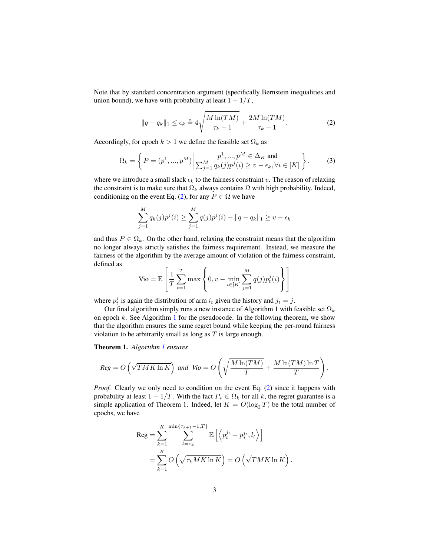Note that by standard concentration argument (specifically Bernstein inequalities and union bound), we have with probability at least  $1 - 1/T$ ,

<span id="page-2-0"></span>
$$
||q - q_k||_1 \le \epsilon_k \triangleq 4\sqrt{\frac{M\ln(TM)}{\tau_k - 1}} + \frac{2M\ln(TM)}{\tau_k - 1}.
$$
 (2)

Accordingly, for epoch  $k > 1$  we define the feasible set  $\Omega_k$  as

<span id="page-2-1"></span>
$$
\Omega_k = \left\{ P = (p^1, ..., p^M) \middle| \sum_{j=1}^M q_k(j)p^j(i) \ge v - \epsilon_k, \forall i \in [K] \right\},\tag{3}
$$

where we introduce a small slack  $\epsilon_k$  to the fairness constraint v. The reason of relaxing the constraint is to make sure that  $\Omega_k$  always contains  $\Omega$  with high probability. Indeed, conditioning on the event Eq. [\(2\)](#page-2-0), for any  $P \in \Omega$  we have

$$
\sum_{j=1}^{M} q_k(j) p^j(i) \ge \sum_{j=1}^{M} q(j) p^j(i) - ||q - q_k||_1 \ge v - \epsilon_k
$$

and thus  $P \in \Omega_k$ . On the other hand, relaxing the constraint means that the algorithm no longer always strictly satisfies the fairness requirement. Instead, we measure the fairness of the algorithm by the average amount of violation of the fairness constraint, defined as Ē

$$
\text{Vio} = \mathbb{E}\left[\frac{1}{T}\sum_{t=1}^{T} \max\left\{0, v - \min_{i \in [K]} \sum_{j=1}^{M} q(j) p_t^j(i)\right\}\right]
$$

where  $p_t^j$  is again the distribution of arm  $i_t$  given the history and  $j_t = j$ .

Our final algorithm simply runs a new instance of Algorithm 1 with feasible set  $\Omega_k$ on epoch  $k$ . See Algorithm [1](#page-3-1) for the pseudocode. In the following theorem, we show that the algorithm ensures the same regret bound while keeping the per-round fairness violation to be arbitrarily small as long as  $T$  is large enough.

Theorem 1. *Algorithm [1](#page-3-1) ensures*

$$
Reg = O\left(\sqrt{TMK \ln K}\right) \text{ and } \text{ Vio} = O\left(\sqrt{\frac{M \ln(TM)}{T}} + \frac{M \ln(TM) \ln T}{T}\right).
$$

*Proof.* Clearly we only need to condition on the event Eq. [\(2\)](#page-2-0) since it happens with probability at least  $1 - 1/T$ . With the fact  $P_* \in \Omega_k$  for all k, the regret guarantee is a simple application of Theorem 1. Indeed, let  $K = O(\log_2 T)$  be the total number of epochs, we have

$$
\begin{split} \text{Reg} &= \sum_{k=1}^{K} \sum_{t=\tau_k}^{\min\{\tau_{k+1}-1,T\}} \mathbb{E}\left[\left\langle p_t^{j_t} - p_*^{j_t}, l_t \right\rangle\right] \\ &= \sum_{k=1}^{K} O\left(\sqrt{\tau_k M K \ln K}\right) = O\left(\sqrt{T M K \ln K}\right). \end{split}
$$